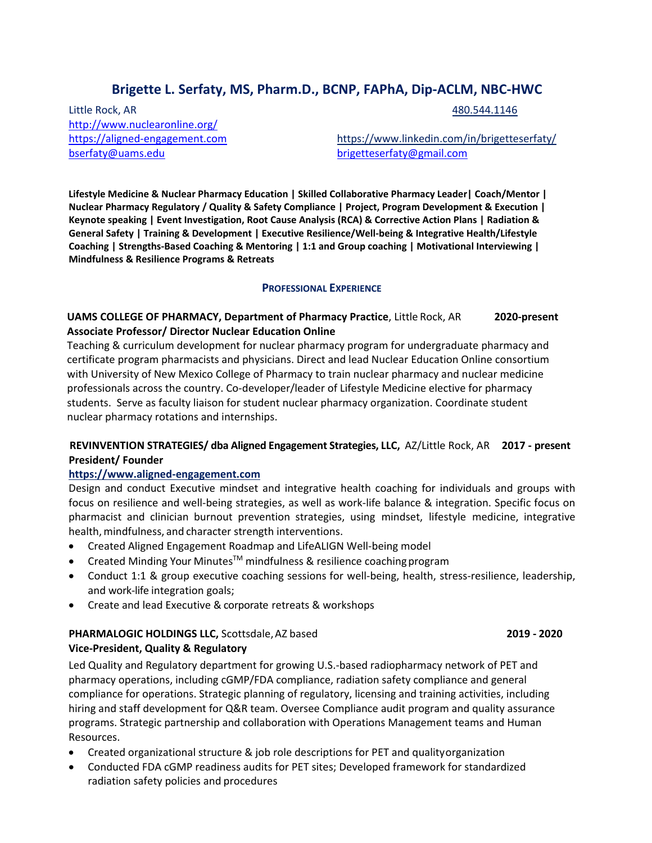# **Brigette L. Serfaty, MS, Pharm.D., BCNP, FAPhA, Dip-ACLM, NBC-HWC**

Little Rock, AR 480.544.1146 [http://www.nuclearonline.org/](https://l.facebook.com/l.php?u=http%3A%2F%2Fwww.nuclearonline.org%2F%3Ffbclid%3DIwAR25y_W4cDI_geoUxt3ZNY6nClPB10KUryC7C3eFlkRE37x921iECbtlL7o&h=AT1jOtn_Qaz5M218Wn8yeT0_QQNNcehNnIHF_OZ8FrjeSGvSCrWG3sfybVJKvEm9VqV6Jnb1P50f-5LCcG0CeXP_qJHVOD73UFka5CX-TdnJqK63kzQKWsqQitLCPj01Tu1kGojmQXh2P-Hcc48-qQ) [bserfaty@uams.edu](mailto:bserfaty@uams.edu) [brigetteserfaty@gmail.com](mailto:brigetteserfaty@gmail.com)

[https://aligned-engagement.com](https://aligned-engagement.com/) <https://www.linkedin.com/in/brigetteserfaty/>

**Lifestyle Medicine & Nuclear Pharmacy Education | Skilled Collaborative Pharmacy Leader| Coach/Mentor | Nuclear Pharmacy Regulatory / Quality & Safety Compliance | Project, Program Development & Execution | Keynote speaking | Event Investigation, Root Cause Analysis (RCA) & Corrective Action Plans | Radiation & General Safety | Training & Development | Executive Resilience/Well-being & Integrative Health/Lifestyle Coaching | Strengths-Based Coaching & Mentoring | 1:1 and Group coaching | Motivational Interviewing | Mindfulness & Resilience Programs & Retreats**

## **PROFESSIONAL EXPERIENCE**

## **UAMS COLLEGE OF PHARMACY, Department of Pharmacy Practice**, Little Rock, AR **2020-present Associate Professor/ Director Nuclear Education Online**

Teaching & curriculum development for nuclear pharmacy program for undergraduate pharmacy and certificate program pharmacists and physicians. Direct and lead Nuclear Education Online consortium with University of New Mexico College of Pharmacy to train nuclear pharmacy and nuclear medicine professionals across the country. Co-developer/leader of Lifestyle Medicine elective for pharmacy students. Serve as faculty liaison for student nuclear pharmacy organization. Coordinate student nuclear pharmacy rotations and internships.

## **REVINVENTION STRATEGIES/ dba Aligned Engagement Strategies, LLC,** AZ/Little Rock, AR **2017 - present President/ Founder**

## **[https://www.aligned-engagement.com](https://www.aligned-engagement.com/)**

Design and conduct Executive mindset and integrative health coaching for individuals and groups with focus on resilience and well-being strategies, as well as work-life balance & integration. Specific focus on pharmacist and clinician burnout prevention strategies, using mindset, lifestyle medicine, integrative health, mindfulness, and character strength interventions.

- Created Aligned Engagement Roadmap and LifeALIGN Well-being model
- Created Minding Your Minutes<sup>™</sup> mindfulness & resilience coaching program
- Conduct 1:1 & group executive coaching sessions for well-being, health, stress-resilience, leadership, and work-life integration goals;
- Create and lead Executive & corporate retreats & workshops

## **PHARMALOGIC HOLDINGS LLC,** Scottsdale,AZ based **2019 - 2020 Vice-President, Quality & Regulatory**

Led Quality and Regulatory department for growing U.S.-based radiopharmacy network of PET and pharmacy operations, including cGMP/FDA compliance, radiation safety compliance and general compliance for operations. Strategic planning of regulatory, licensing and training activities, including hiring and staff development for Q&R team. Oversee Compliance audit program and quality assurance programs. Strategic partnership and collaboration with Operations Management teams and Human Resources.

- Created organizational structure & job role descriptions for PET and qualityorganization
- Conducted FDA cGMP readiness audits for PET sites; Developed framework for standardized radiation safety policies and procedures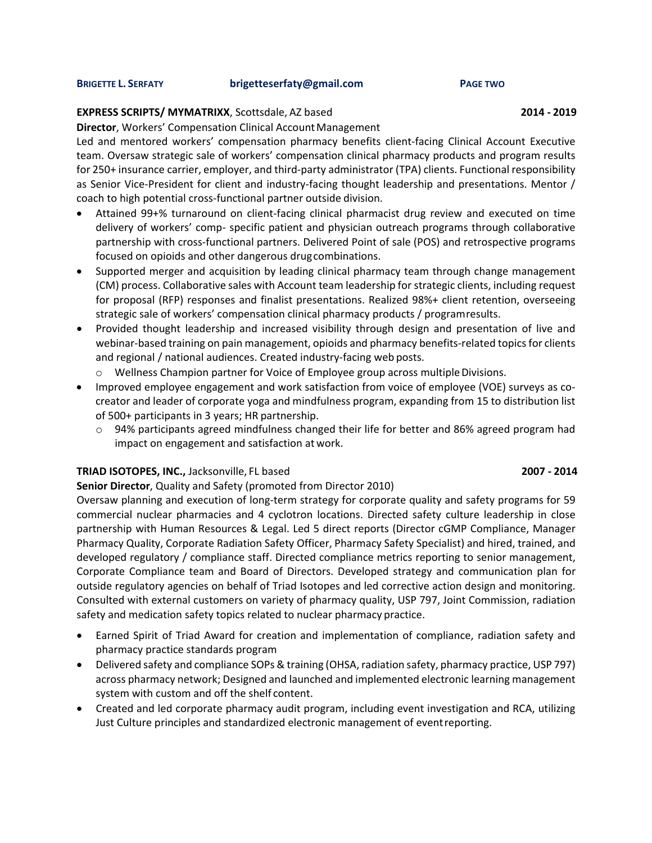#### **BRIGETTE L. SERFATY [brigetteserfaty@gmail.com](mailto:brigetteserfaty@gmail.com) PAGE TWO**

## **EXPRESS SCRIPTS/ MYMATRIXX**, Scottsdale, AZ based **2014 - 2019**

**Director, Workers' Compensation Clinical Account Management** 

Led and mentored workers' compensation pharmacy benefits client-facing Clinical Account Executive team. Oversaw strategic sale of workers' compensation clinical pharmacy products and program results for 250+ insurance carrier, employer, and third-party administrator (TPA) clients. Functional responsibility as Senior Vice-President for client and industry-facing thought leadership and presentations. Mentor / coach to high potential cross-functional partner outside division.

- Attained 99+% turnaround on client-facing clinical pharmacist drug review and executed on time delivery of workers' comp- specific patient and physician outreach programs through collaborative partnership with cross-functional partners. Delivered Point of sale (POS) and retrospective programs focused on opioids and other dangerous drugcombinations.
- Supported merger and acquisition by leading clinical pharmacy team through change management (CM) process. Collaborative sales with Account team leadership for strategic clients, including request for proposal (RFP) responses and finalist presentations. Realized 98%+ client retention, overseeing strategic sale of workers' compensation clinical pharmacy products / programresults.
- Provided thought leadership and increased visibility through design and presentation of live and webinar-based training on pain management, opioids and pharmacy benefits-related topics for clients and regional / national audiences. Created industry-facing web posts.
	- $\circ$  Wellness Champion partner for Voice of Employee group across multiple Divisions.
- Improved employee engagement and work satisfaction from voice of employee (VOE) surveys as cocreator and leader of corporate yoga and mindfulness program, expanding from 15 to distribution list of 500+ participants in 3 years; HR partnership.
	- $\circ$  94% participants agreed mindfulness changed their life for better and 86% agreed program had impact on engagement and satisfaction at work.

## **TRIAD ISOTOPES, INC.,** Jacksonville, FL based **2007 - 2014**

## **Senior Director**, Quality and Safety (promoted from Director 2010)

Oversaw planning and execution of long-term strategy for corporate quality and safety programs for 59 commercial nuclear pharmacies and 4 cyclotron locations. Directed safety culture leadership in close partnership with Human Resources & Legal. Led 5 direct reports (Director cGMP Compliance, Manager Pharmacy Quality, Corporate Radiation Safety Officer, Pharmacy Safety Specialist) and hired, trained, and developed regulatory / compliance staff. Directed compliance metrics reporting to senior management, Corporate Compliance team and Board of Directors. Developed strategy and communication plan for outside regulatory agencies on behalf of Triad Isotopes and led corrective action design and monitoring. Consulted with external customers on variety of pharmacy quality, USP 797, Joint Commission, radiation safety and medication safety topics related to nuclear pharmacy practice.

- Earned Spirit of Triad Award for creation and implementation of compliance, radiation safety and pharmacy practice standards program
- Delivered safety and compliance SOPs & training (OHSA, radiation safety, pharmacy practice, USP 797) across pharmacy network; Designed and launched and implemented electronic learning management system with custom and off the shelf content.
- Created and led corporate pharmacy audit program, including event investigation and RCA, utilizing Just Culture principles and standardized electronic management of eventreporting.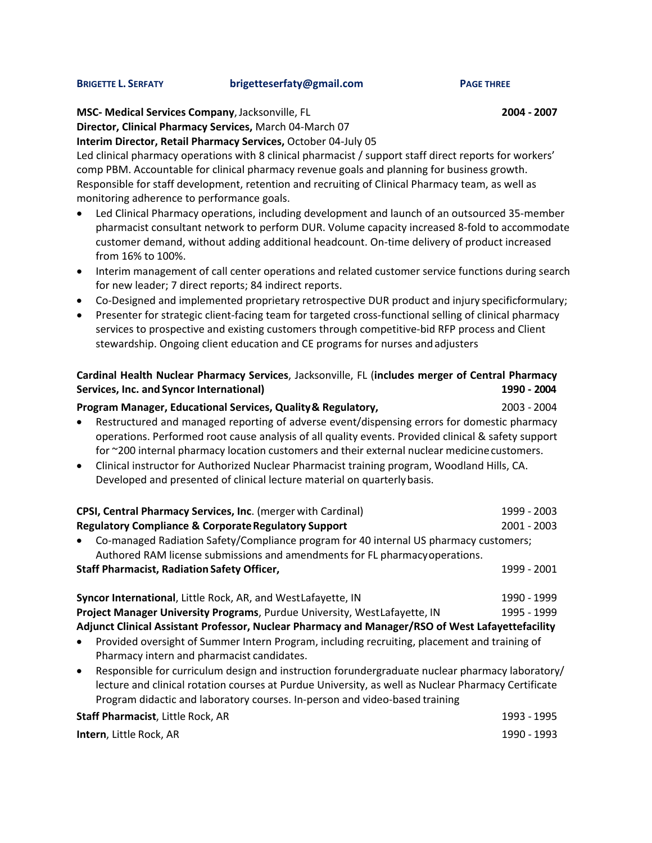#### **BRIGETTE L. SERFATY [brigetteserfaty@gmail.com](mailto:brigetteserfaty@gmail.com) PAGE THREE**

**MSC- Medical Services Company**,Jacksonville, FL **2004 - 2007**

**Director, Clinical Pharmacy Services,** March 04-March 07

**Interim Director, Retail Pharmacy Services,** October 04-July 05

Led clinical pharmacy operations with 8 clinical pharmacist / support staff direct reports for workers' comp PBM. Accountable for clinical pharmacy revenue goals and planning for business growth. Responsible for staff development, retention and recruiting of Clinical Pharmacy team, as well as monitoring adherence to performance goals.

- Led Clinical Pharmacy operations, including development and launch of an outsourced 35-member pharmacist consultant network to perform DUR. Volume capacity increased 8-fold to accommodate customer demand, without adding additional headcount. On-time delivery of product increased from 16% to 100%.
- Interim management of call center operations and related customer service functions during search for new leader; 7 direct reports; 84 indirect reports.
- Co-Designed and implemented proprietary retrospective DUR product and injury specificformulary;
- Presenter for strategic client-facing team for targeted cross-functional selling of clinical pharmacy services to prospective and existing customers through competitive-bid RFP process and Client stewardship. Ongoing client education and CE programs for nurses andadjusters

## **Cardinal Health Nuclear Pharmacy Services**, Jacksonville, FL (**includes merger of Central Pharmacy Services, Inc. and Syncor International) 1990 - 2004**

## **Program Manager, Educational Services, Quality& Regulatory,** 2003 - 2004

- Restructured and managed reporting of adverse event/dispensing errors for domestic pharmacy operations. Performed root cause analysis of all quality events. Provided clinical & safety support for ~200 internal pharmacy location customers and their external nuclear medicine customers.
- Clinical instructor for Authorized Nuclear Pharmacist training program, Woodland Hills, CA. Developed and presented of clinical lecture material on quarterlybasis.

| CPSI, Central Pharmacy Services, Inc. (merger with Cardinal)                          | 1999 - 2003 |
|---------------------------------------------------------------------------------------|-------------|
| <b>Regulatory Compliance &amp; Corporate Regulatory Support</b>                       | 2001 - 2003 |
| Co-managed Radiation Safety/Compliance program for 40 internal US pharmacy customers; |             |
| Authored RAM license submissions and amendments for FL pharmacy operations.           |             |
| <b>Staff Pharmacist, Radiation Safety Officer,</b>                                    | 1999 - 2001 |
|                                                                                       |             |
| Syncor International, Little Rock, AR, and WestLafayette, IN                          | 1990 - 1999 |
| Project Manager University Programs, Purdue University, WestLafayette, IN             | 1995 - 1999 |

**Adjunct Clinical Assistant Professor, Nuclear Pharmacy and Manager/RSO of West Lafayettefacility**

- Provided oversight of Summer Intern Program, including recruiting, placement and training of Pharmacy intern and pharmacist candidates.
- Responsible for curriculum design and instruction forundergraduate nuclear pharmacy laboratory/ lecture and clinical rotation courses at Purdue University, as well as Nuclear Pharmacy Certificate Program didactic and laboratory courses. In-person and video-based training

| Staff Pharmacist, Little Rock, AR | 1993 - 1995 |
|-----------------------------------|-------------|
| <b>Intern</b> , Little Rock, AR   | 1990 - 1993 |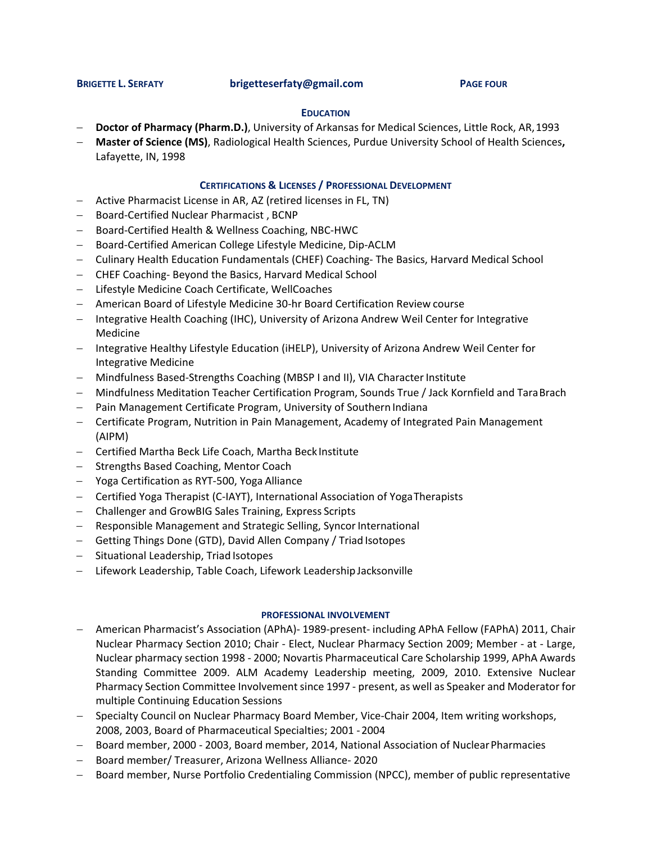### **BRIGETTE L. SERFATY [brigetteserfaty@gmail.com](mailto:brigetteserfaty@gmail.com) PAGE FOUR**

### **EDUCATION**

- − **Doctor of Pharmacy (Pharm.D.)**, University of Arkansas for Medical Sciences, Little Rock, AR,1993
- − **Master of Science (MS)**, Radiological Health Sciences, Purdue University School of Health Sciences**,**  Lafayette, IN, 1998

### **CERTIFICATIONS & LICENSES / PROFESSIONAL DEVELOPMENT**

- − Active Pharmacist License in AR, AZ (retired licenses in FL, TN)
- − Board-Certified Nuclear Pharmacist , BCNP
- − Board-Certified Health & Wellness Coaching, NBC-HWC
- − Board-Certified American College Lifestyle Medicine, Dip-ACLM
- − Culinary Health Education Fundamentals (CHEF) Coaching- The Basics, Harvard Medical School
- − CHEF Coaching- Beyond the Basics, Harvard Medical School
- − Lifestyle Medicine Coach Certificate, WellCoaches
- − American Board of Lifestyle Medicine 30-hr Board Certification Review course
- − Integrative Health Coaching (IHC), University of Arizona Andrew Weil Center for Integrative Medicine
- − Integrative Healthy Lifestyle Education (iHELP), University of Arizona Andrew Weil Center for Integrative Medicine
- − Mindfulness Based-Strengths Coaching (MBSP I and II), VIA CharacterInstitute
- − Mindfulness Meditation Teacher Certification Program, Sounds True / Jack Kornfield and TaraBrach
- − Pain Management Certificate Program, University of Southern Indiana
- − Certificate Program, Nutrition in Pain Management, Academy of Integrated Pain Management (AIPM)
- − Certified Martha Beck Life Coach, Martha Beck Institute
- − Strengths Based Coaching, Mentor Coach
- − Yoga Certification as RYT-500, Yoga Alliance
- − Certified Yoga Therapist (C-IAYT), International Association of YogaTherapists
- − Challenger and GrowBIG Sales Training, Express Scripts
- − Responsible Management and Strategic Selling, SyncorInternational
- − Getting Things Done (GTD), David Allen Company / Triad Isotopes
- − Situational Leadership, Triad Isotopes
- − Lifework Leadership, Table Coach, Lifework Leadership Jacksonville

### **PROFESSIONAL INVOLVEMENT**

- − American Pharmacist's Association (APhA)- 1989-present- including APhA Fellow (FAPhA) 2011, Chair Nuclear Pharmacy Section 2010; Chair - Elect, Nuclear Pharmacy Section 2009; Member - at - Large, Nuclear pharmacy section 1998 - 2000; Novartis Pharmaceutical Care Scholarship 1999, APhA Awards Standing Committee 2009. ALM Academy Leadership meeting, 2009, 2010. Extensive Nuclear Pharmacy Section Committee Involvement since 1997 - present, as well as Speaker and Moderator for multiple Continuing Education Sessions
- − Specialty Council on Nuclear Pharmacy Board Member, Vice-Chair 2004, Item writing workshops, 2008, 2003, Board of Pharmaceutical Specialties; 2001 -2004
- − Board member, 2000 2003, Board member, 2014, National Association of NuclearPharmacies
- − Board member/ Treasurer, Arizona Wellness Alliance- 2020
- − Board member, Nurse Portfolio Credentialing Commission (NPCC), member of public representative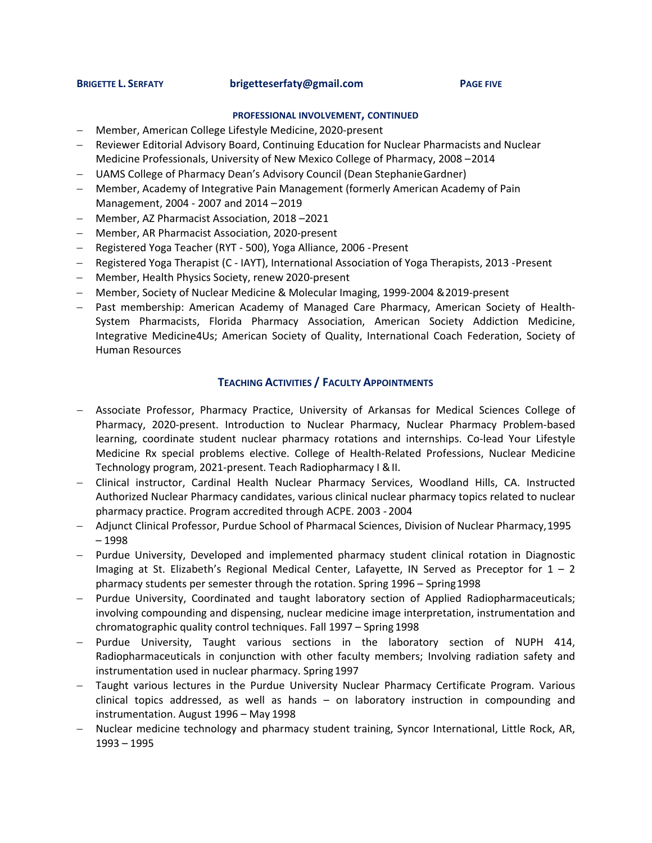#### **BRIGETTE L. SERFATY [brigetteserfaty@gmail.com](mailto:brigetteserfaty@gmail.com) PAGE FIVE**

#### **PROFESSIONAL INVOLVEMENT, CONTINUED**

- − Member, American College Lifestyle Medicine, 2020-present
- − Reviewer Editorial Advisory Board, Continuing Education for Nuclear Pharmacists and Nuclear Medicine Professionals, University of New Mexico College of Pharmacy, 2008 –2014
- − UAMS College of Pharmacy Dean's Advisory Council (Dean StephanieGardner)
- − Member, Academy of Integrative Pain Management (formerly American Academy of Pain Management, 2004 - 2007 and 2014 –2019
- − Member, AZ Pharmacist Association, 2018 –2021
- − Member, AR Pharmacist Association, 2020-present
- − Registered Yoga Teacher (RYT 500), Yoga Alliance, 2006 -Present
- − Registered Yoga Therapist (C IAYT), International Association of Yoga Therapists, 2013 -Present
- − Member, Health Physics Society, renew 2020-present
- − Member, Society of Nuclear Medicine & Molecular Imaging, 1999-2004 &2019-present
- − Past membership: American Academy of Managed Care Pharmacy, American Society of Health-System Pharmacists, Florida Pharmacy Association, American Society Addiction Medicine, Integrative Medicine4Us; American Society of Quality, International Coach Federation, Society of Human Resources

## **TEACHING ACTIVITIES / FACULTY APPOINTMENTS**

- − Associate Professor, Pharmacy Practice, University of Arkansas for Medical Sciences College of Pharmacy, 2020-present. Introduction to Nuclear Pharmacy, Nuclear Pharmacy Problem-based learning, coordinate student nuclear pharmacy rotations and internships. Co-lead Your Lifestyle Medicine Rx special problems elective. College of Health-Related Professions, Nuclear Medicine Technology program, 2021-present. Teach Radiopharmacy I &II.
- − Clinical instructor, Cardinal Health Nuclear Pharmacy Services, Woodland Hills, CA. Instructed Authorized Nuclear Pharmacy candidates, various clinical nuclear pharmacy topics related to nuclear pharmacy practice. Program accredited through ACPE. 2003 - 2004
- − Adjunct Clinical Professor, Purdue School of Pharmacal Sciences, Division of Nuclear Pharmacy,1995 – 1998
- − Purdue University, Developed and implemented pharmacy student clinical rotation in Diagnostic Imaging at St. Elizabeth's Regional Medical Center, Lafayette, IN Served as Preceptor for  $1 - 2$ pharmacy students per semester through the rotation. Spring 1996 – Spring1998
- − Purdue University, Coordinated and taught laboratory section of Applied Radiopharmaceuticals; involving compounding and dispensing, nuclear medicine image interpretation, instrumentation and chromatographic quality control techniques. Fall 1997 – Spring 1998
- Purdue University, Taught various sections in the laboratory section of NUPH 414, Radiopharmaceuticals in conjunction with other faculty members; Involving radiation safety and instrumentation used in nuclear pharmacy. Spring 1997
- − Taught various lectures in the Purdue University Nuclear Pharmacy Certificate Program. Various clinical topics addressed, as well as hands – on laboratory instruction in compounding and instrumentation. August 1996 – May 1998
- − Nuclear medicine technology and pharmacy student training, Syncor International, Little Rock, AR, 1993 – 1995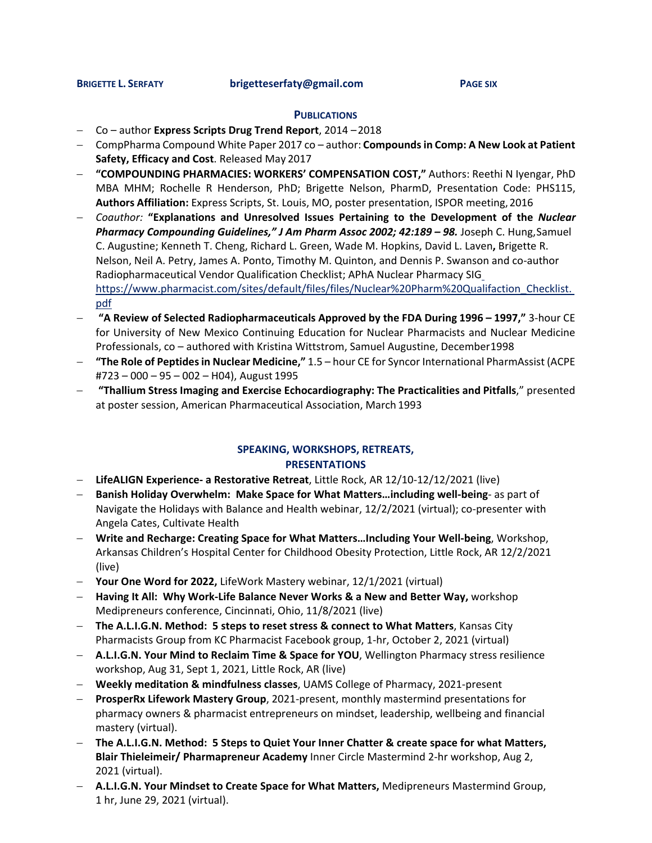#### **PUBLICATIONS**

- − Co author **Express Scripts Drug Trend Report**, 2014 –2018
- − CompPharma Compound White Paper 2017 co author: **Compoundsin Comp: A New Look at Patient Safety, Efficacy and Cost**. Released May 2017
- − **"COMPOUNDING PHARMACIES: WORKERS' COMPENSATION COST,"** Authors: Reethi N Iyengar, PhD MBA MHM; Rochelle R Henderson, PhD; Brigette Nelson, PharmD, Presentation Code: PHS115, **Authors Affiliation:** Express Scripts, St. Louis, MO, poster presentation, ISPOR meeting,2016
- − *Coauthor:* **"Explanations and Unresolved Issues Pertaining to the Development of the** *Nuclear Pharmacy Compounding Guidelines," J Am Pharm Assoc 2002; 42:189 – 98.* Joseph C. Hung,Samuel C. Augustine; Kenneth T. Cheng, Richard L. Green, Wade M. Hopkins, David L. Laven**,** Brigette R. Nelson, Neil A. Petry, James A. Ponto, Timothy M. Quinton, and Dennis P. Swanson and co-author Radiopharmaceutical Vendor Qualification Checklist; APhA Nuclear Pharmacy SI[G](https://www.pharmacist.com/sites/default/files/files/Nuclear%20Pharm%20Qualifaction_Checklist.pdf) [https://www.pharmacist.com/sites/default/files/files/Nuclear%20Pharm%20Qualifaction\\_Checklist.](https://www.pharmacist.com/sites/default/files/files/Nuclear%20Pharm%20Qualifaction_Checklist.pdf) [pdf](https://www.pharmacist.com/sites/default/files/files/Nuclear%20Pharm%20Qualifaction_Checklist.pdf)
- − **"A Review of Selected Radiopharmaceuticals Approved by the FDA During 1996 – 1997,"** 3-hour CE for University of New Mexico Continuing Education for Nuclear Pharmacists and Nuclear Medicine Professionals, co – authored with Kristina Wittstrom, Samuel Augustine, December1998
- − **"The Role of Peptidesin Nuclear Medicine,"** 1.5 hour CE for Syncor International PharmAssist (ACPE #723 – 000 – 95 – 002 – H04), August 1995
- − **"Thallium Stress Imaging and Exercise Echocardiography: The Practicalities and Pitfalls**," presented at poster session, American Pharmaceutical Association, March 1993

## **SPEAKING, WORKSHOPS, RETREATS, PRESENTATIONS**

- − **LifeALIGN Experience- a Restorative Retreat**, Little Rock, AR 12/10-12/12/2021 (live)
- − **Banish Holiday Overwhelm: Make Space for What Matters…including well-being** as part of Navigate the Holidays with Balance and Health webinar, 12/2/2021 (virtual); co-presenter with Angela Cates, Cultivate Health
- − **Write and Recharge: Creating Space for What Matters…Including Your Well-being**, Workshop, Arkansas Children's Hospital Center for Childhood Obesity Protection, Little Rock, AR 12/2/2021 (live)
- − **Your One Word for 2022,** LifeWork Mastery webinar, 12/1/2021 (virtual)
- − **Having It All: Why Work-Life Balance Never Works & a New and Better Way,** workshop Medipreneurs conference, Cincinnati, Ohio, 11/8/2021 (live)
- − **The A.L.I.G.N. Method: 5 steps to reset stress & connect to What Matters**, Kansas City Pharmacists Group from KC Pharmacist Facebook group, 1-hr, October 2, 2021 (virtual)
- − **A.L.I.G.N. Your Mind to Reclaim Time & Space for YOU**, Wellington Pharmacy stress resilience workshop, Aug 31, Sept 1, 2021, Little Rock, AR (live)
- − **Weekly meditation & mindfulness classes**, UAMS College of Pharmacy, 2021-present
- − **ProsperRx Lifework Mastery Group**, 2021-present, monthly mastermind presentations for pharmacy owners & pharmacist entrepreneurs on mindset, leadership, wellbeing and financial mastery (virtual).
- − **The A.L.I.G.N. Method: 5 Steps to Quiet Your Inner Chatter & create space for what Matters, Blair Thieleimeir/ Pharmapreneur Academy** Inner Circle Mastermind 2-hr workshop, Aug 2, 2021 (virtual).
- − **A.L.I.G.N. Your Mindset to Create Space for What Matters,** Medipreneurs Mastermind Group, 1 hr, June 29, 2021 (virtual).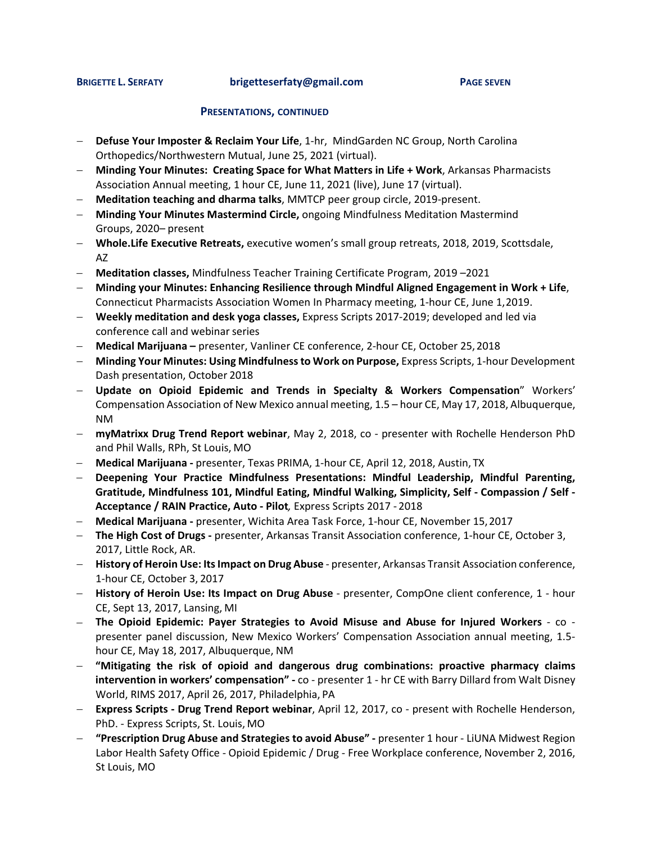**BRIGETTE L. SERFATY [brigetteserfaty@gmail.com](mailto:brigetteserfaty@gmail.com) PAGE SEVEN**

### **PRESENTATIONS, CONTINUED**

- − **Defuse Your Imposter & Reclaim Your Life**, 1-hr, MindGarden NC Group, North Carolina Orthopedics/Northwestern Mutual, June 25, 2021 (virtual).
- − **Minding Your Minutes: Creating Space for What Matters in Life + Work**, Arkansas Pharmacists Association Annual meeting, 1 hour CE, June 11, 2021 (live), June 17 (virtual).
- − **Meditation teaching and dharma talks**, MMTCP peer group circle, 2019-present.
- − **Minding Your Minutes Mastermind Circle,** ongoing Mindfulness Meditation Mastermind Groups, 2020– present
- − **Whole.Life Executive Retreats,** executive women's small group retreats, 2018, 2019, Scottsdale, AZ
- − **Meditation classes,** Mindfulness Teacher Training Certificate Program, 2019 –2021
- − **Minding your Minutes: Enhancing Resilience through Mindful Aligned Engagement in Work + Life**, Connecticut Pharmacists Association Women In Pharmacy meeting, 1-hour CE, June 1,2019.
- − **Weekly meditation and desk yoga classes,** Express Scripts 2017-2019; developed and led via conference call and webinar series
- − **Medical Marijuana –** presenter, Vanliner CE conference, 2-hour CE, October 25,2018
- − **Minding Your Minutes: Using Mindfulnessto Work on Purpose,** Express Scripts, 1-hour Development Dash presentation, October 2018
- − **Update on Opioid Epidemic and Trends in Specialty & Workers Compensation**" Workers' Compensation Association of New Mexico annual meeting, 1.5 – hour CE, May 17, 2018, Albuquerque, NM
- − **myMatrixx Drug Trend Report webinar**, May 2, 2018, co presenter with Rochelle Henderson PhD and Phil Walls, RPh, St Louis, MO
- − **Medical Marijuana -** presenter, Texas PRIMA, 1-hour CE, April 12, 2018, Austin, TX
- − **Deepening Your Practice Mindfulness Presentations: Mindful Leadership, Mindful Parenting, Gratitude, Mindfulness 101, Mindful Eating, Mindful Walking, Simplicity, Self - Compassion / Self - Acceptance / RAIN Practice, Auto - Pilot***,* Express Scripts 2017 - 2018
- − **Medical Marijuana -** presenter, Wichita Area Task Force, 1-hour CE, November 15,2017
- − **The High Cost of Drugs -** presenter, Arkansas Transit Association conference, 1-hour CE, October 3, 2017, Little Rock, AR.
- − **History of Heroin Use: ItsImpact on Drug Abuse** presenter, Arkansas Transit Association conference, 1-hour CE, October 3, 2017
- − **History of Heroin Use: Its Impact on Drug Abuse**  presenter, CompOne client conference, 1 hour CE, Sept 13, 2017, Lansing, MI
- − **The Opioid Epidemic: Payer Strategies to Avoid Misuse and Abuse for Injured Workers**  co presenter panel discussion, New Mexico Workers' Compensation Association annual meeting, 1.5 hour CE, May 18, 2017, Albuquerque, NM
- − **"Mitigating the risk of opioid and dangerous drug combinations: proactive pharmacy claims intervention in workers' compensation" -** co - presenter 1 - hr CE with Barry Dillard from Walt Disney World, RIMS 2017, April 26, 2017, Philadelphia, PA
- − **Express Scripts - Drug Trend Report webinar**, April 12, 2017, co present with Rochelle Henderson, PhD. - Express Scripts, St. Louis, MO
- − **"Prescription Drug Abuse and Strategies to avoid Abuse" -** presenter 1 hour LiUNA Midwest Region Labor Health Safety Office - Opioid Epidemic / Drug - Free Workplace conference, November 2, 2016, St Louis, MO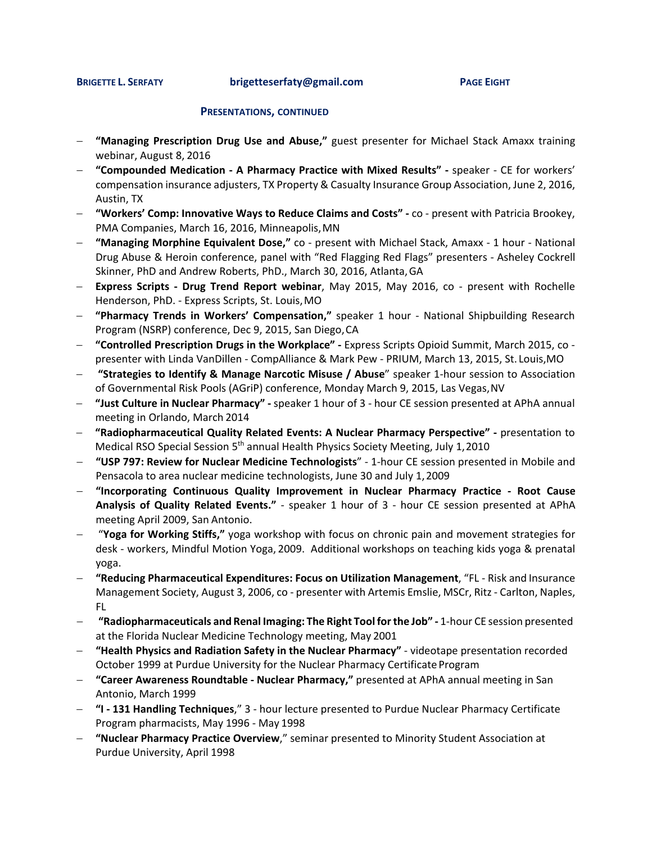**BRIGETTE L. SERFATY [brigetteserfaty@gmail.com](mailto:brigetteserfaty@gmail.com) PAGE EIGHT**

### **PRESENTATIONS, CONTINUED**

- − **"Managing Prescription Drug Use and Abuse,"** guest presenter for Michael Stack Amaxx training webinar, August 8, 2016
- − **"Compounded Medication - A Pharmacy Practice with Mixed Results" -** speaker CE for workers' compensation insurance adjusters, TX Property & Casualty Insurance Group Association, June 2, 2016, Austin, TX
- − **"Workers' Comp: Innovative Ways to Reduce Claims and Costs" -** co present with Patricia Brookey, PMA Companies, March 16, 2016, Minneapolis, MN
- − **"Managing Morphine Equivalent Dose,"** co present with Michael Stack, Amaxx 1 hour National Drug Abuse & Heroin conference, panel with "Red Flagging Red Flags" presenters - Asheley Cockrell Skinner, PhD and Andrew Roberts, PhD., March 30, 2016, Atlanta,GA
- − **Express Scripts - Drug Trend Report webinar**, May 2015, May 2016, co present with Rochelle Henderson, PhD. - Express Scripts, St. Louis,MO
- − **"Pharmacy Trends in Workers' Compensation,"** speaker 1 hour National Shipbuilding Research Program (NSRP) conference, Dec 9, 2015, San Diego,CA
- − **"Controlled Prescription Drugs in the Workplace" -** Express Scripts Opioid Summit, March 2015, co presenter with Linda VanDillen - CompAlliance & Mark Pew - PRIUM, March 13, 2015, St. Louis,MO
- − **"Strategies to Identify & Manage Narcotic Misuse / Abuse**" speaker 1-hour session to Association of Governmental Risk Pools (AGriP) conference, Monday March 9, 2015, Las Vegas,NV
- − **"Just Culture in Nuclear Pharmacy" -** speaker 1 hour of 3 hour CE session presented at APhA annual meeting in Orlando, March 2014
- − **"Radiopharmaceutical Quality Related Events: A Nuclear Pharmacy Perspective" -** presentation to Medical RSO Special Session 5<sup>th</sup> annual Health Physics Society Meeting, July 1, 2010
- − **"USP 797: Review for Nuclear Medicine Technologists**" 1-hour CE session presented in Mobile and Pensacola to area nuclear medicine technologists, June 30 and July 1,2009
- − **"Incorporating Continuous Quality Improvement in Nuclear Pharmacy Practice - Root Cause Analysis of Quality Related Events."** - speaker 1 hour of 3 - hour CE session presented at APhA meeting April 2009, San Antonio.
- − "**Yoga for Working Stiffs,"** yoga workshop with focus on chronic pain and movement strategies for desk - workers, Mindful Motion Yoga, 2009. Additional workshops on teaching kids yoga & prenatal yoga.
- − **"Reducing Pharmaceutical Expenditures: Focus on Utilization Management**, "FL Risk and Insurance Management Society, August 3, 2006, co - presenter with Artemis Emslie, MSCr, Ritz- Carlton, Naples, FL
- − **"Radiopharmaceuticals and Renal Imaging: The Right Tool forthe Job" -** 1-hour CE session presented at the Florida Nuclear Medicine Technology meeting, May 2001
- − **"Health Physics and Radiation Safety in the Nuclear Pharmacy"**  videotape presentation recorded October 1999 at Purdue University for the Nuclear Pharmacy Certificate Program
- − **"Career Awareness Roundtable - Nuclear Pharmacy,"** presented at APhA annual meeting in San Antonio, March 1999
- − **"I - 131 Handling Techniques**," 3 hour lecture presented to Purdue Nuclear Pharmacy Certificate Program pharmacists, May 1996 - May 1998
- − **"Nuclear Pharmacy Practice Overview**," seminar presented to Minority Student Association at Purdue University, April 1998